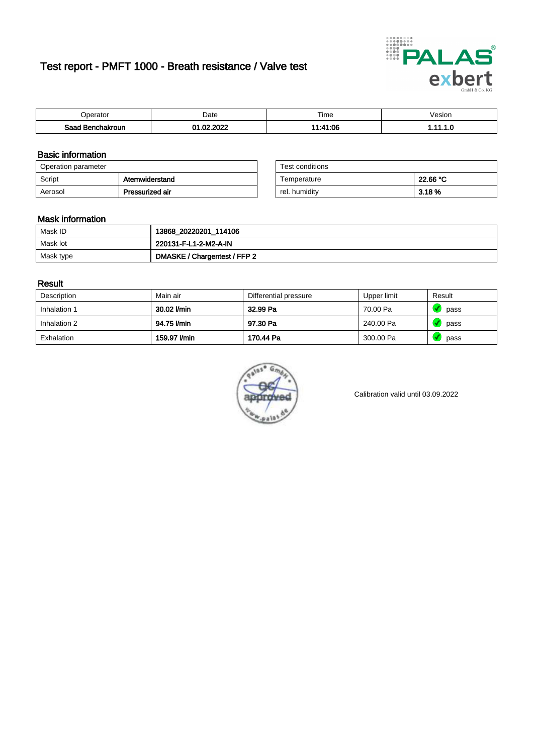# Test report - PMFT 1000 - Breath resistance / Valve test



| <i>v</i> oerator            | Date          | $- \cdot$<br>Time | /esion |
|-----------------------------|---------------|-------------------|--------|
| Saad<br>าchakroun<br>$\sim$ | 000<br>$\sim$ | 4.11.00<br>www.   | .      |

### Basic information

| Operation parameter |                 | Test conditions |          |  |
|---------------------|-----------------|-----------------|----------|--|
| Script              | Atemwiderstand  | Temperature     | 22.66 °C |  |
| Aerosol             | Pressurized air | rel. humidity   | 3.18 %   |  |

| Test conditions |          |
|-----------------|----------|
| Temperature     | 22.66 °C |
| rel. humidity   | 3.18 %   |

#### Mask information

| Mask ID   | 13868_20220201_114106        |
|-----------|------------------------------|
| Mask lot  | 220131-F-L1-2-M2-A-IN        |
| Mask type | DMASKE / Chargentest / FFP 2 |

### Result

| Description  | Main air     | Differential pressure | Upper limit | Result |
|--------------|--------------|-----------------------|-------------|--------|
| Inhalation 1 | 30.02 l/min  | 32.99 Pa              | 70.00 Pa    | pass   |
| Inhalation 2 | 94.75 l/min  | 97.30 Pa              | 240.00 Pa   | pass   |
| Exhalation   | 159.97 l/min | 170.44 Pa             | 300.00 Pa   | pass   |



Calibration valid until 03.09.2022